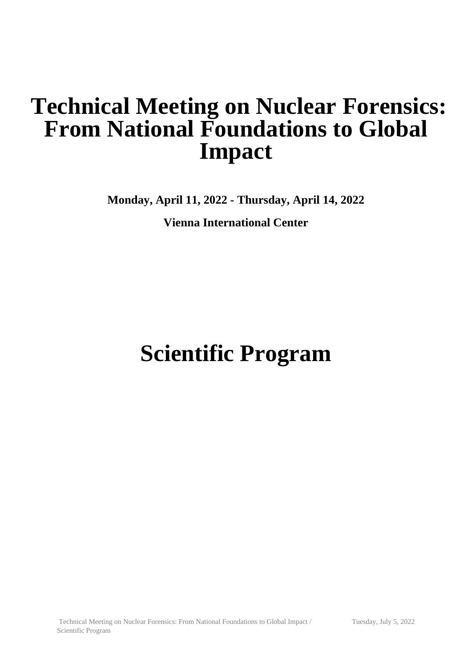## **Technical Meeting on Nuclear Forensics: From National Foundations to Global Impact**

**Monday, April 11, 2022 - Thursday, April 14, 2022**

**Vienna International Center**

# **Scientific Program**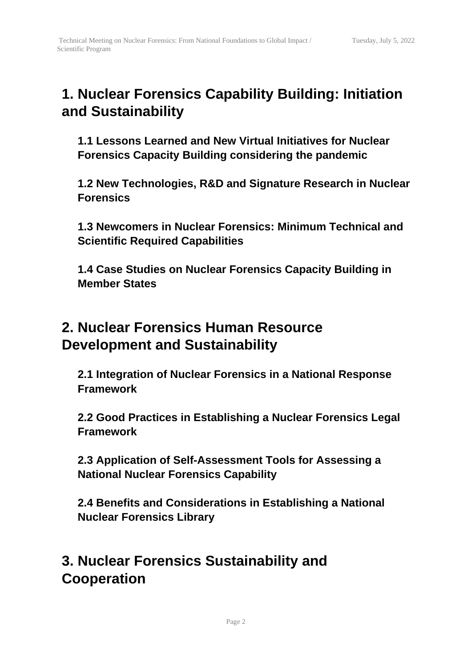### **1. Nuclear Forensics Capability Building: Initiation and Sustainability**

**1.1 Lessons Learned and New Virtual Initiatives for Nuclear Forensics Capacity Building considering the pandemic**

**1.2 New Technologies, R&D and Signature Research in Nuclear Forensics**

**1.3 Newcomers in Nuclear Forensics: Minimum Technical and Scientific Required Capabilities**

**1.4 Case Studies on Nuclear Forensics Capacity Building in Member States**

### **2. Nuclear Forensics Human Resource Development and Sustainability**

**2.1 Integration of Nuclear Forensics in a National Response Framework**

**2.2 Good Practices in Establishing a Nuclear Forensics Legal Framework**

**2.3 Application of Self-Assessment Tools for Assessing a National Nuclear Forensics Capability**

**2.4 Benefits and Considerations in Establishing a National Nuclear Forensics Library**

### **3. Nuclear Forensics Sustainability and Cooperation**